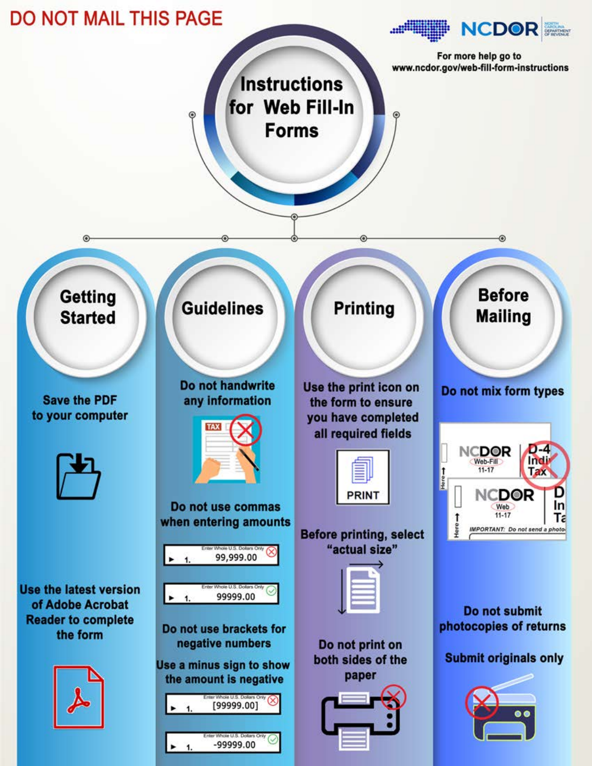